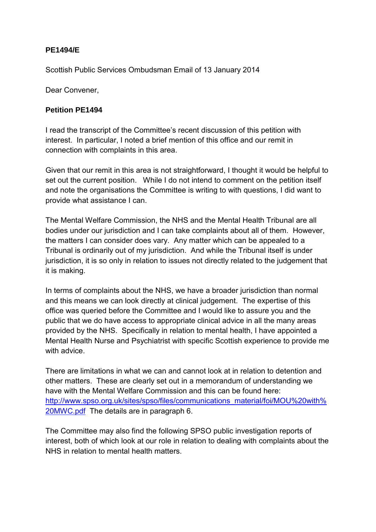## **PE1494/E**

Scottish Public Services Ombudsman Email of 13 January 2014

Dear Convener,

## **Petition PE1494**

I read the transcript of the Committee's recent discussion of this petition with interest. In particular, I noted a brief mention of this office and our remit in connection with complaints in this area.

Given that our remit in this area is not straightforward, I thought it would be helpful to set out the current position. While I do not intend to comment on the petition itself and note the organisations the Committee is writing to with questions, I did want to provide what assistance I can.

The Mental Welfare Commission, the NHS and the Mental Health Tribunal are all bodies under our jurisdiction and I can take complaints about all of them. However, the matters I can consider does vary. Any matter which can be appealed to a Tribunal is ordinarily out of my jurisdiction. And while the Tribunal itself is under jurisdiction, it is so only in relation to issues not directly related to the judgement that it is making.

In terms of complaints about the NHS, we have a broader jurisdiction than normal and this means we can look directly at clinical judgement. The expertise of this office was queried before the Committee and I would like to assure you and the public that we do have access to appropriate clinical advice in all the many areas provided by the NHS. Specifically in relation to mental health, I have appointed a Mental Health Nurse and Psychiatrist with specific Scottish experience to provide me with advice.

There are limitations in what we can and cannot look at in relation to detention and other matters. These are clearly set out in a memorandum of understanding we have with the Mental Welfare Commission and this can be found here: [http://www.spso.org.uk/sites/spso/files/communications\\_material/foi/MOU%20with%](http://www.spso.org.uk/sites/spso/files/communications_material/foi/MOU%20with%20MWC.pdf) [20MWC.pdf](http://www.spso.org.uk/sites/spso/files/communications_material/foi/MOU%20with%20MWC.pdf) The details are in paragraph 6.

The Committee may also find the following SPSO public investigation reports of interest, both of which look at our role in relation to dealing with complaints about the NHS in relation to mental health matters.